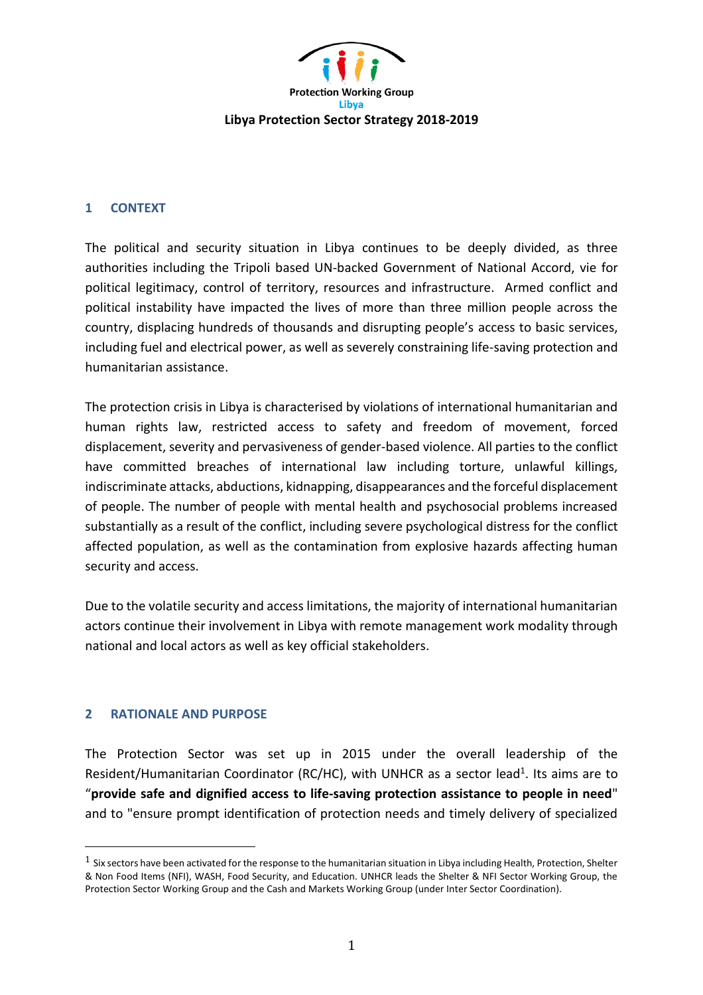

## **1 CONTEXT**

The political and security situation in Libya continues to be deeply divided, as three authorities including the Tripoli based UN-backed Government of National Accord, vie for political legitimacy, control of territory, resources and infrastructure. Armed conflict and political instability have impacted the lives of more than three million people across the country, displacing hundreds of thousands and disrupting people's access to basic services, including fuel and electrical power, as well as severely constraining life-saving protection and humanitarian assistance.

The protection crisis in Libya is characterised by violations of international humanitarian and human rights law, restricted access to safety and freedom of movement, forced displacement, severity and pervasiveness of gender-based violence. All parties to the conflict have committed breaches of international law including torture, unlawful killings, indiscriminate attacks, abductions, kidnapping, disappearances and the forceful displacement of people. The number of people with mental health and psychosocial problems increased substantially as a result of the conflict, including severe psychological distress for the conflict affected population, as well as the contamination from explosive hazards affecting human security and access.

Due to the volatile security and access limitations, the majority of international humanitarian actors continue their involvement in Libya with remote management work modality through national and local actors as well as key official stakeholders.

## **2 RATIONALE AND PURPOSE**

 $\overline{a}$ 

The Protection Sector was set up in 2015 under the overall leadership of the Resident/Humanitarian Coordinator (RC/HC), with UNHCR as a sector lead<sup>1</sup>. Its aims are to "**provide safe and dignified access to life-saving protection assistance to people in need**" and to "ensure prompt identification of protection needs and timely delivery of specialized

 $1$  Six sectors have been activated for the response to the humanitarian situation in Libya including Health, Protection, Shelter & Non Food Items (NFI), WASH, Food Security, and Education. UNHCR leads the Shelter & NFI Sector Working Group, the Protection Sector Working Group and the Cash and Markets Working Group (under Inter Sector Coordination).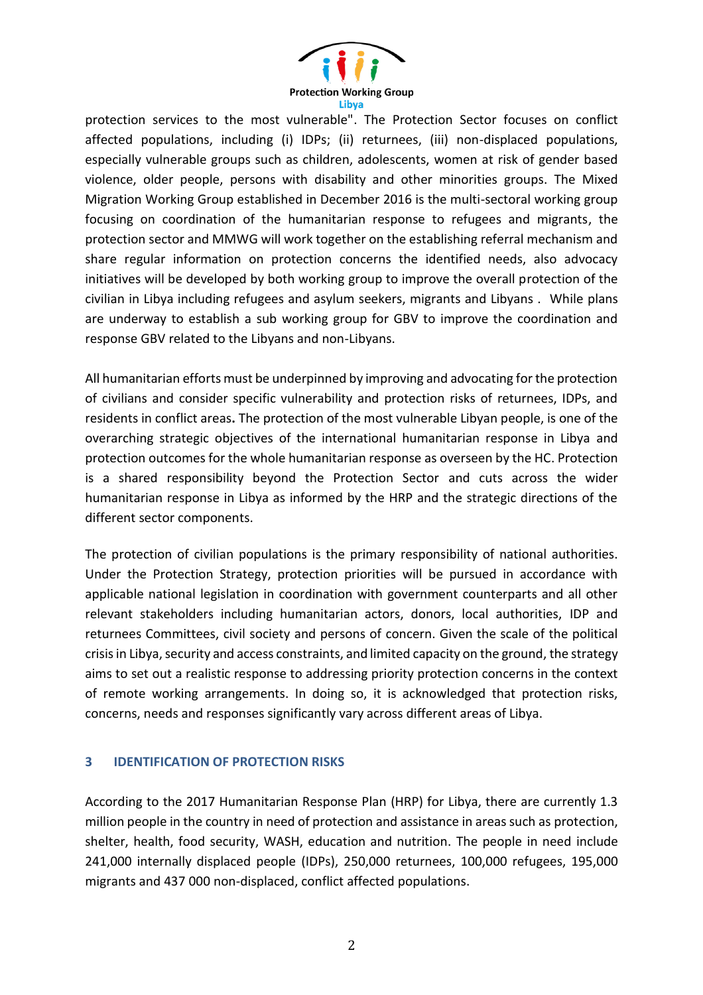

protection services to the most vulnerable". The Protection Sector focuses on conflict affected populations, including (i) IDPs; (ii) returnees, (iii) non-displaced populations, especially vulnerable groups such as children, adolescents, women at risk of gender based violence, older people, persons with disability and other minorities groups. The Mixed Migration Working Group established in December 2016 is the multi-sectoral working group focusing on coordination of the humanitarian response to refugees and migrants, the protection sector and MMWG will work together on the establishing referral mechanism and share regular information on protection concerns the identified needs, also advocacy initiatives will be developed by both working group to improve the overall protection of the civilian in Libya including refugees and asylum seekers, migrants and Libyans . While plans are underway to establish a sub working group for GBV to improve the coordination and response GBV related to the Libyans and non-Libyans.

All humanitarian efforts must be underpinned by improving and advocating for the protection of civilians and consider specific vulnerability and protection risks of returnees, IDPs, and residents in conflict areas**.** The protection of the most vulnerable Libyan people, is one of the overarching strategic objectives of the international humanitarian response in Libya and protection outcomes for the whole humanitarian response as overseen by the HC. Protection is a shared responsibility beyond the Protection Sector and cuts across the wider humanitarian response in Libya as informed by the HRP and the strategic directions of the different sector components.

The protection of civilian populations is the primary responsibility of national authorities. Under the Protection Strategy, protection priorities will be pursued in accordance with applicable national legislation in coordination with government counterparts and all other relevant stakeholders including humanitarian actors, donors, local authorities, IDP and returnees Committees, civil society and persons of concern. Given the scale of the political crisis in Libya, security and access constraints, and limited capacity on the ground, the strategy aims to set out a realistic response to addressing priority protection concerns in the context of remote working arrangements. In doing so, it is acknowledged that protection risks, concerns, needs and responses significantly vary across different areas of Libya.

#### **3 IDENTIFICATION OF PROTECTION RISKS**

According to the 2017 Humanitarian Response Plan (HRP) for Libya, there are currently 1.3 million people in the country in need of protection and assistance in areas such as protection, shelter, health, food security, WASH, education and nutrition. The people in need include 241,000 internally displaced people (IDPs), 250,000 returnees, 100,000 refugees, 195,000 migrants and 437 000 non-displaced, conflict affected populations.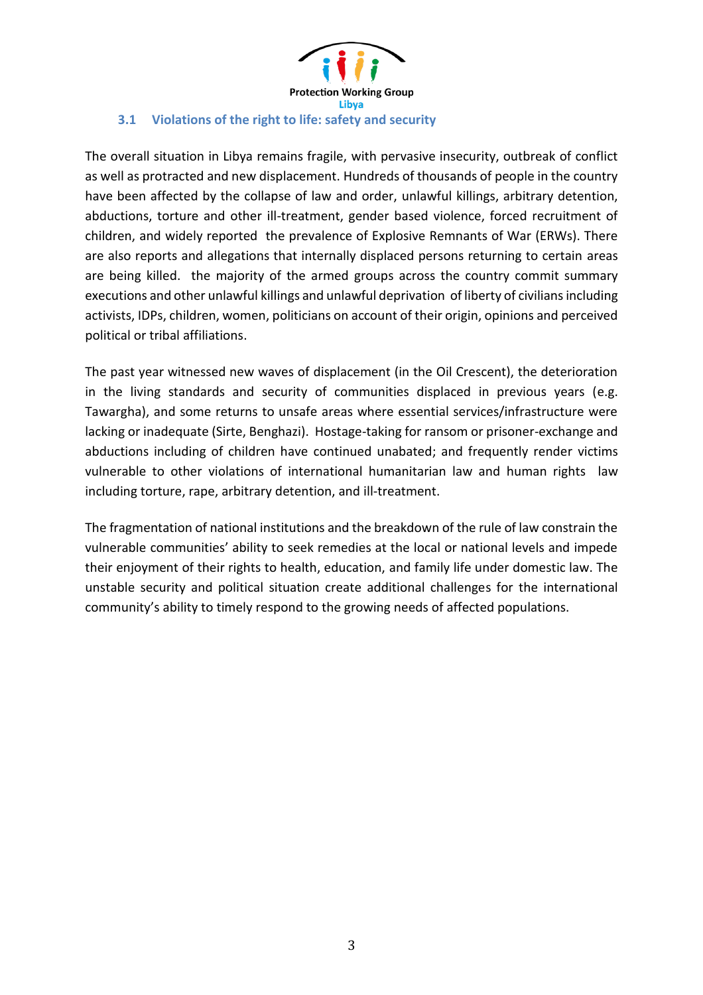

## **3.1 Violations of the right to life: safety and security**

The overall situation in Libya remains fragile, with pervasive insecurity, outbreak of conflict as well as protracted and new displacement. Hundreds of thousands of people in the country have been affected by the collapse of law and order, unlawful killings, arbitrary detention, abductions, torture and other ill-treatment, gender based violence, forced recruitment of children, and widely reported the prevalence of Explosive Remnants of War (ERWs). There are also reports and allegations that internally displaced persons returning to certain areas are being killed. the majority of the armed groups across the country commit summary executions and other unlawful killings and unlawful deprivation of liberty of civilians including activists, IDPs, children, women, politicians on account of their origin, opinions and perceived political or tribal affiliations.

The past year witnessed new waves of displacement (in the Oil Crescent), the deterioration in the living standards and security of communities displaced in previous years (e.g. Tawargha), and some returns to unsafe areas where essential services/infrastructure were lacking or inadequate (Sirte, Benghazi). Hostage-taking for ransom or prisoner-exchange and abductions including of children have continued unabated; and frequently render victims vulnerable to other violations of international humanitarian law and human rights law including torture, rape, arbitrary detention, and ill-treatment.

The fragmentation of national institutions and the breakdown of the rule of law constrain the vulnerable communities' ability to seek remedies at the local or national levels and impede their enjoyment of their rights to health, education, and family life under domestic law. The unstable security and political situation create additional challenges for the international community's ability to timely respond to the growing needs of affected populations.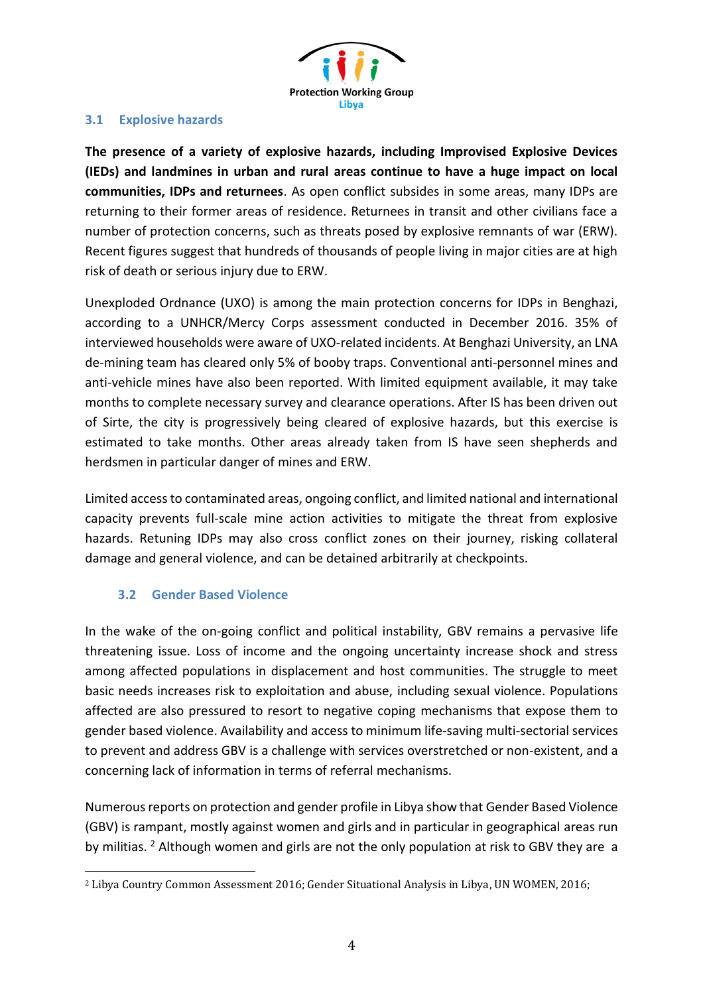

#### **3.1 Explosive hazards**

**The presence of a variety of explosive hazards, including Improvised Explosive Devices (IEDs) and landmines in urban and rural areas continue to have a huge impact on local communities, IDPs and returnees**. As open conflict subsides in some areas, many IDPs are returning to their former areas of residence. Returnees in transit and other civilians face a number of protection concerns, such as threats posed by explosive remnants of war (ERW). Recent figures suggest that hundreds of thousands of people living in major cities are at high risk of death or serious injury due to ERW.

Unexploded Ordnance (UXO) is among the main protection concerns for IDPs in Benghazi, according to a UNHCR/Mercy Corps assessment conducted in December 2016. 35% of interviewed households were aware of UXO-related incidents. At Benghazi University, an LNA de-mining team has cleared only 5% of booby traps. Conventional anti-personnel mines and anti-vehicle mines have also been reported. With limited equipment available, it may take months to complete necessary survey and clearance operations. After IS has been driven out of Sirte, the city is progressively being cleared of explosive hazards, but this exercise is estimated to take months. Other areas already taken from IS have seen shepherds and herdsmen in particular danger of mines and ERW.

Limited access to contaminated areas, ongoing conflict, and limited national and international capacity prevents full-scale mine action activities to mitigate the threat from explosive hazards. Retuning IDPs may also cross conflict zones on their journey, risking collateral damage and general violence, and can be detained arbitrarily at checkpoints.

## **3.2 Gender Based Violence**

In the wake of the on-going conflict and political instability, GBV remains a pervasive life threatening issue. Loss of income and the ongoing uncertainty increase shock and stress among affected populations in displacement and host communities. The struggle to meet basic needs increases risk to exploitation and abuse, including sexual violence. Populations affected are also pressured to resort to negative coping mechanisms that expose them to gender based violence. Availability and access to minimum life-saving multi-sectorial services to prevent and address GBV is a challenge with services overstretched or non-existent, and a concerning lack of information in terms of referral mechanisms.

Numerous reports on protection and gender profile in Libya show that Gender Based Violence (GBV) is rampant, mostly against women and girls and in particular in geographical areas run by militias. <sup>2</sup> Although women and girls are not the only population at risk to GBV they are a

<sup>2</sup> Libya Country Common Assessment 2016; Gender Situational Analysis in Libya, UN WOMEN, 2016;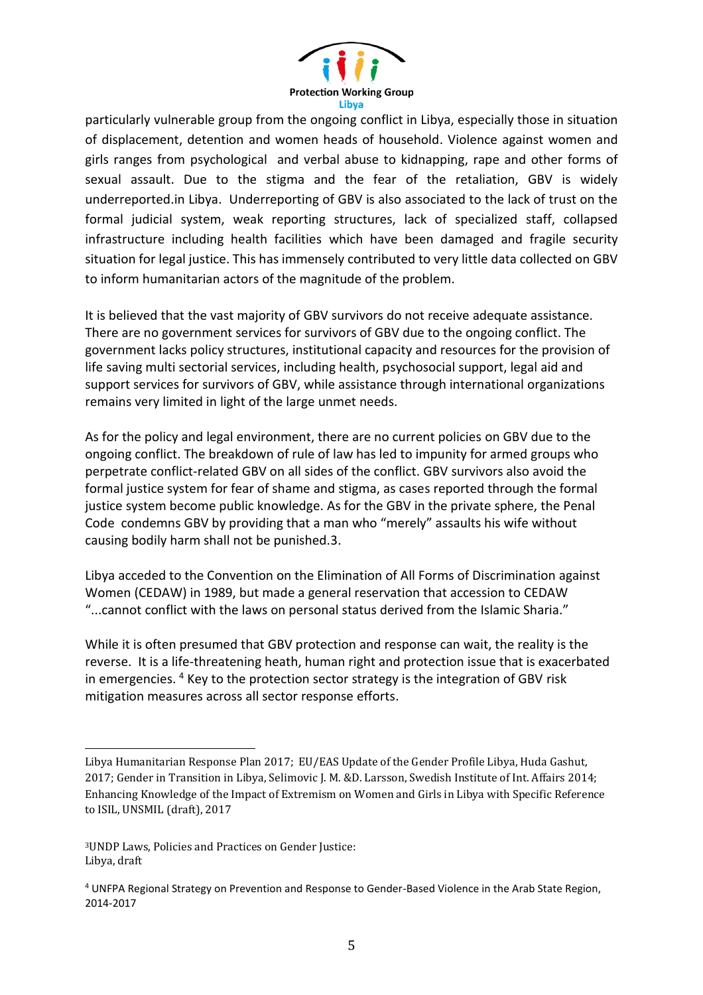

particularly vulnerable group from the ongoing conflict in Libya, especially those in situation of displacement, detention and women heads of household. Violence against women and girls ranges from psychological and verbal abuse to kidnapping, rape and other forms of sexual assault. Due to the stigma and the fear of the retaliation, GBV is widely underreported.in Libya. Underreporting of GBV is also associated to the lack of trust on the formal judicial system, weak reporting structures, lack of specialized staff, collapsed infrastructure including health facilities which have been damaged and fragile security situation for legal justice. This has immensely contributed to very little data collected on GBV to inform humanitarian actors of the magnitude of the problem.

It is believed that the vast majority of GBV survivors do not receive adequate assistance. There are no government services for survivors of GBV due to the ongoing conflict. The government lacks policy structures, institutional capacity and resources for the provision of life saving multi sectorial services, including health, psychosocial support, legal aid and support services for survivors of GBV, while assistance through international organizations remains very limited in light of the large unmet needs.

As for the policy and legal environment, there are no current policies on GBV due to the ongoing conflict. The breakdown of rule of law has led to impunity for armed groups who perpetrate conflict-related GBV on all sides of the conflict. GBV survivors also avoid the formal justice system for fear of shame and stigma, as cases reported through the formal justice system become public knowledge. As for the GBV in the private sphere, the Penal Code condemns GBV by providing that a man who "merely" assaults his wife without causing bodily harm shall not be punished.3.

Libya acceded to the Convention on the Elimination of All Forms of Discrimination against Women (CEDAW) in 1989, but made a general reservation that accession to CEDAW "...cannot conflict with the laws on personal status derived from the Islamic Sharia."

While it is often presumed that GBV protection and response can wait, the reality is the reverse. It is a life-threatening heath, human right and protection issue that is exacerbated in emergencies. <sup>4</sup> Key to the protection sector strategy is the integration of GBV risk mitigation measures across all sector response efforts.

 $\overline{a}$ 

Libya Humanitarian Response Plan 2017; EU/EAS Update of the Gender Profile Libya, Huda Gashut, 2017; Gender in Transition in Libya, Selimovic J. M. &D. Larsson, Swedish Institute of Int. Affairs 2014; Enhancing Knowledge of the Impact of Extremism on Women and Girls in Libya with Specific Reference to ISIL, UNSMIL (draft), 2017

<sup>3</sup>UNDP Laws, Policies and Practices on Gender Justice: Libya, draft

<sup>4</sup> UNFPA Regional Strategy on Prevention and Response to Gender-Based Violence in the Arab State Region, 2014-2017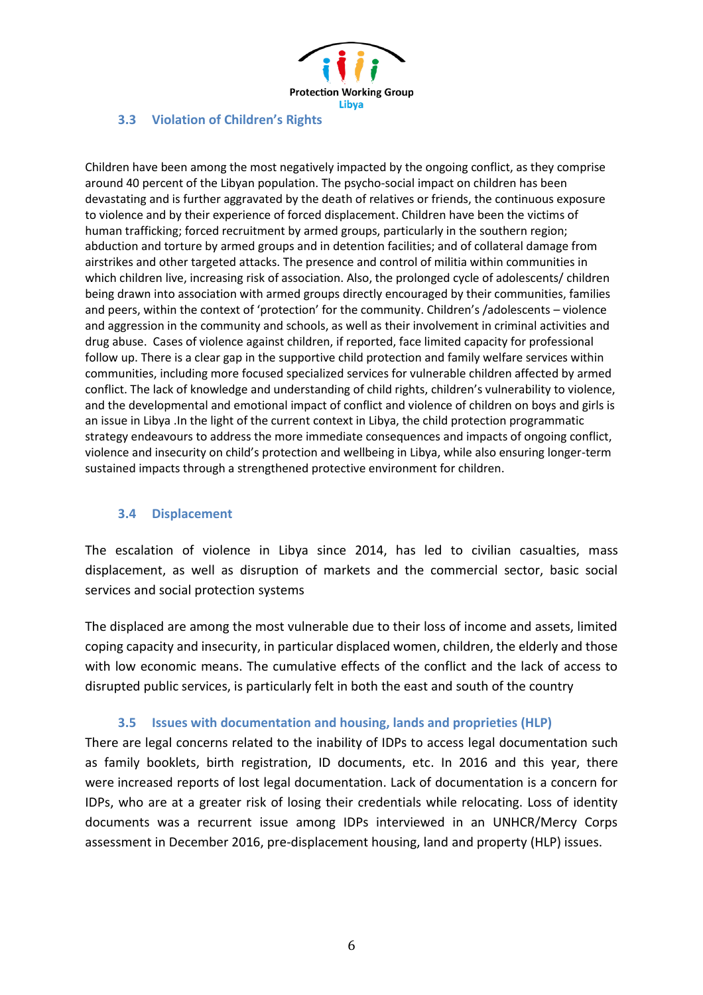

#### **3.3 Violation of Children's Rights**

Children have been among the most negatively impacted by the ongoing conflict, as they comprise around 40 percent of the Libyan population. The psycho-social impact on children has been devastating and is further aggravated by the death of relatives or friends, the continuous exposure to violence and by their experience of forced displacement. Children have been the victims of human trafficking; forced recruitment by armed groups, particularly in the southern region; abduction and torture by armed groups and in detention facilities; and of collateral damage from airstrikes and other targeted attacks. The presence and control of militia within communities in which children live, increasing risk of association. Also, the prolonged cycle of adolescents/ children being drawn into association with armed groups directly encouraged by their communities, families and peers, within the context of 'protection' for the community. Children's /adolescents – violence and aggression in the community and schools, as well as their involvement in criminal activities and drug abuse. Cases of violence against children, if reported, face limited capacity for professional follow up. There is a clear gap in the supportive child protection and family welfare services within communities, including more focused specialized services for vulnerable children affected by armed conflict. The lack of knowledge and understanding of child rights, children's vulnerability to violence, and the developmental and emotional impact of conflict and violence of children on boys and girls is an issue in Libya .In the light of the current context in Libya, the child protection programmatic strategy endeavours to address the more immediate consequences and impacts of ongoing conflict, violence and insecurity on child's protection and wellbeing in Libya, while also ensuring longer-term sustained impacts through a strengthened protective environment for children.

## **3.4 Displacement**

The escalation of violence in Libya since 2014, has led to civilian casualties, mass displacement, as well as disruption of markets and the commercial sector, basic social services and social protection systems

The displaced are among the most vulnerable due to their loss of income and assets, limited coping capacity and insecurity, in particular displaced women, children, the elderly and those with low economic means. The cumulative effects of the conflict and the lack of access to disrupted public services, is particularly felt in both the east and south of the country

#### **3.5 Issues with documentation and housing, lands and proprieties (HLP)**

There are legal concerns related to the inability of IDPs to access legal documentation such as family booklets, birth registration, ID documents, etc. In 2016 and this year, there were increased reports of lost legal documentation. Lack of documentation is a concern for IDPs, who are at a greater risk of losing their credentials while relocating. Loss of identity documents was a recurrent issue among IDPs interviewed in an UNHCR/Mercy Corps assessment in December 2016, pre-displacement housing, land and property (HLP) issues.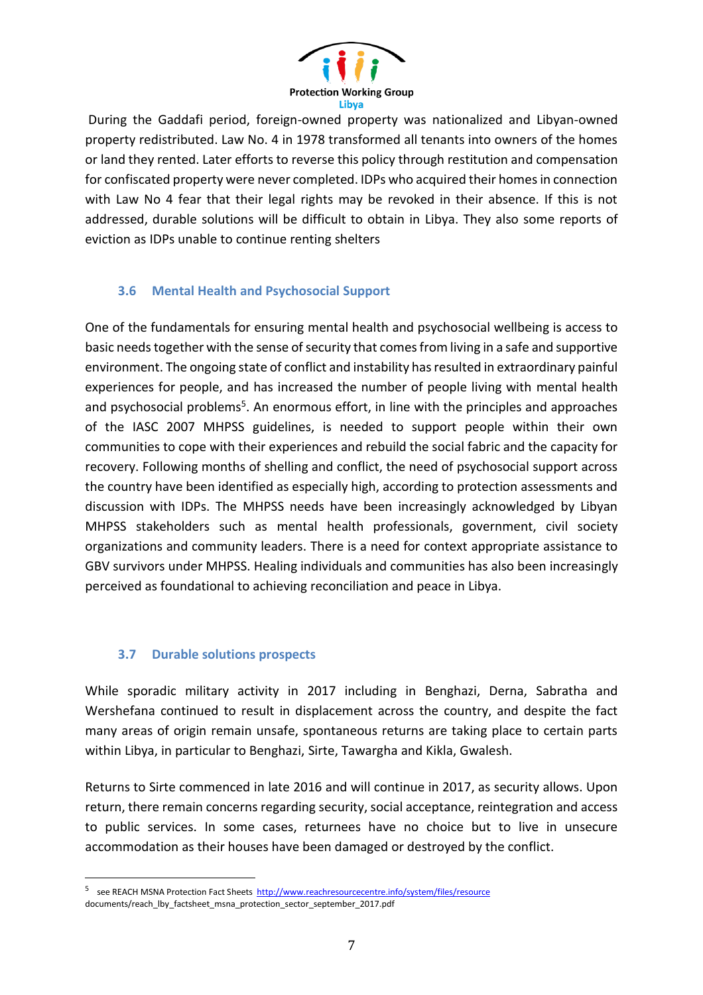

During the Gaddafi period, foreign-owned property was nationalized and Libyan-owned property redistributed. Law No. 4 in 1978 transformed all tenants into owners of the homes or land they rented. Later efforts to reverse this policy through restitution and compensation for confiscated property were never completed. IDPs who acquired their homes in connection with Law No 4 fear that their legal rights may be revoked in their absence. If this is not addressed, durable solutions will be difficult to obtain in Libya. They also some reports of eviction as IDPs unable to continue renting shelters

## **3.6 Mental Health and Psychosocial Support**

One of the fundamentals for ensuring mental health and psychosocial wellbeing is access to basic needs together with the sense of security that comes from living in a safe and supportive environment. The ongoing state of conflict and instability has resulted in extraordinary painful experiences for people, and has increased the number of people living with mental health and psychosocial problems<sup>5</sup>. An enormous effort, in line with the principles and approaches of the IASC 2007 MHPSS guidelines, is needed to support people within their own communities to cope with their experiences and rebuild the social fabric and the capacity for recovery. Following months of shelling and conflict, the need of psychosocial support across the country have been identified as especially high, according to protection assessments and discussion with IDPs. The MHPSS needs have been increasingly acknowledged by Libyan MHPSS stakeholders such as mental health professionals, government, civil society organizations and community leaders. There is a need for context appropriate assistance to GBV survivors under MHPSS. Healing individuals and communities has also been increasingly perceived as foundational to achieving reconciliation and peace in Libya.

## **3.7 Durable solutions prospects**

 $\overline{a}$ 

While sporadic military activity in 2017 including in Benghazi, Derna, Sabratha and Wershefana continued to result in displacement across the country, and despite the fact many areas of origin remain unsafe, spontaneous returns are taking place to certain parts within Libya, in particular to Benghazi, Sirte, Tawargha and Kikla, Gwalesh.

Returns to Sirte commenced in late 2016 and will continue in 2017, as security allows. Upon return, there remain concerns regarding security, social acceptance, reintegration and access to public services. In some cases, returnees have no choice but to live in unsecure accommodation as their houses have been damaged or destroyed by the conflict.

<sup>&</sup>lt;sup>5</sup> see REACH MSNA Protection Fact Sheets<http://www.reachresourcecentre.info/system/files/resource> documents/reach\_lby\_factsheet\_msna\_protection\_sector\_september\_2017.pdf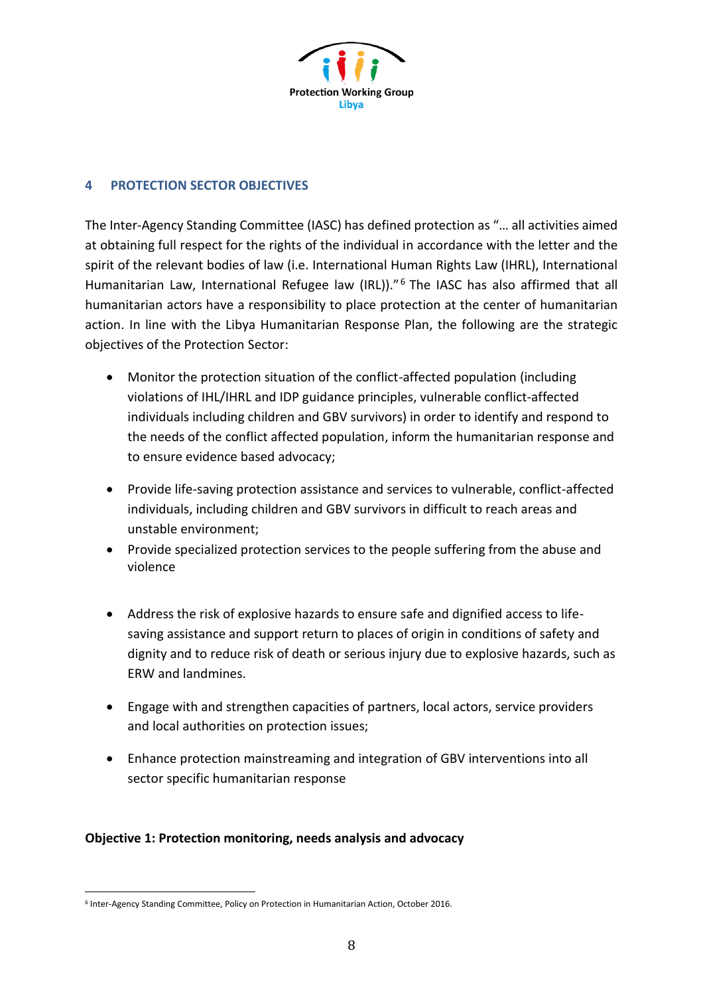

#### **4 PROTECTION SECTOR OBJECTIVES**

The Inter-Agency Standing Committee (IASC) has defined protection as "… all activities aimed at obtaining full respect for the rights of the individual in accordance with the letter and the spirit of the relevant bodies of law (i.e. International Human Rights Law (IHRL), International Humanitarian Law, International Refugee law (IRL))."<sup>6</sup> The IASC has also affirmed that all humanitarian actors have a responsibility to place protection at the center of humanitarian action. In line with the Libya Humanitarian Response Plan, the following are the strategic objectives of the Protection Sector:

- Monitor the protection situation of the conflict-affected population (including violations of IHL/IHRL and IDP guidance principles, vulnerable conflict-affected individuals including children and GBV survivors) in order to identify and respond to the needs of the conflict affected population, inform the humanitarian response and to ensure evidence based advocacy;
- Provide life-saving protection assistance and services to vulnerable, conflict-affected individuals, including children and GBV survivors in difficult to reach areas and unstable environment;
- Provide specialized protection services to the people suffering from the abuse and violence
- Address the risk of explosive hazards to ensure safe and dignified access to lifesaving assistance and support return to places of origin in conditions of safety and dignity and to reduce risk of death or serious injury due to explosive hazards, such as ERW and landmines.
- Engage with and strengthen capacities of partners, local actors, service providers and local authorities on protection issues;
- Enhance protection mainstreaming and integration of GBV interventions into all sector specific humanitarian response

## **Objective 1: Protection monitoring, needs analysis and advocacy**

 $\overline{a}$ 6 Inter-Agency Standing Committee, Policy on Protection in Humanitarian Action, October 2016.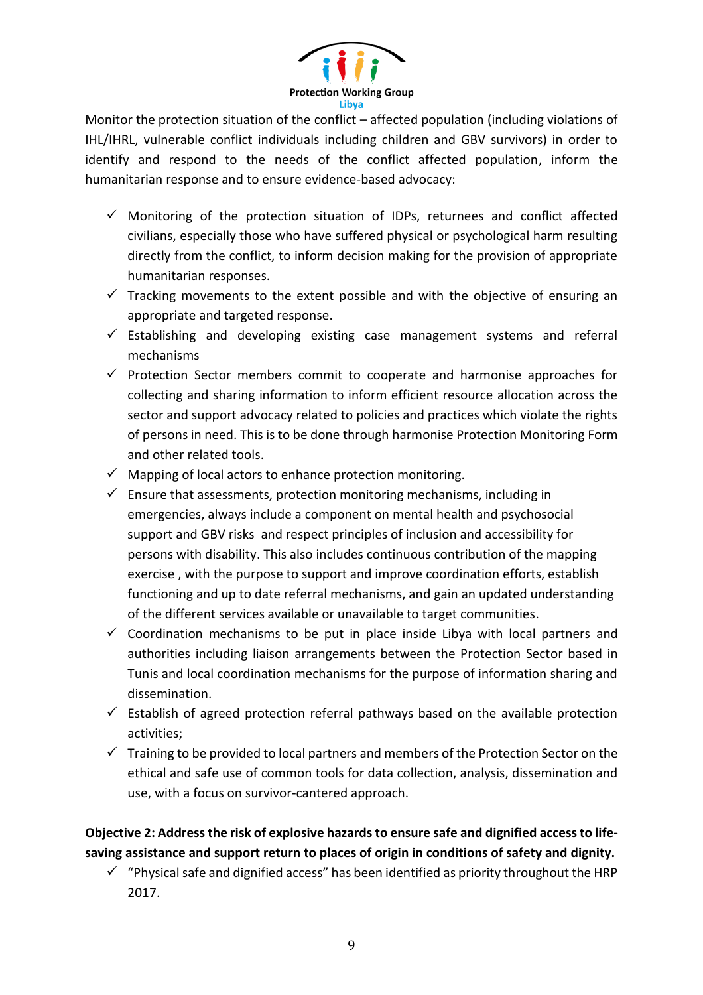

Monitor the protection situation of the conflict – affected population (including violations of IHL/IHRL, vulnerable conflict individuals including children and GBV survivors) in order to identify and respond to the needs of the conflict affected population, inform the humanitarian response and to ensure evidence-based advocacy:

- $\checkmark$  Monitoring of the protection situation of IDPs, returnees and conflict affected civilians, especially those who have suffered physical or psychological harm resulting directly from the conflict, to inform decision making for the provision of appropriate humanitarian responses.
- $\checkmark$  Tracking movements to the extent possible and with the objective of ensuring an appropriate and targeted response.
- $\checkmark$  Establishing and developing existing case management systems and referral mechanisms
- $\checkmark$  Protection Sector members commit to cooperate and harmonise approaches for collecting and sharing information to inform efficient resource allocation across the sector and support advocacy related to policies and practices which violate the rights of persons in need. This is to be done through harmonise Protection Monitoring Form and other related tools.
- $\checkmark$  Mapping of local actors to enhance protection monitoring.
- $\checkmark$  Ensure that assessments, protection monitoring mechanisms, including in emergencies, always include a component on mental health and psychosocial support and GBV risks and respect principles of inclusion and accessibility for persons with disability. This also includes continuous contribution of the mapping exercise , with the purpose to support and improve coordination efforts, establish functioning and up to date referral mechanisms, and gain an updated understanding of the different services available or unavailable to target communities.
- $\checkmark$  Coordination mechanisms to be put in place inside Libya with local partners and authorities including liaison arrangements between the Protection Sector based in Tunis and local coordination mechanisms for the purpose of information sharing and dissemination.
- $\checkmark$  Establish of agreed protection referral pathways based on the available protection activities;
- $\checkmark$  Training to be provided to local partners and members of the Protection Sector on the ethical and safe use of common tools for data collection, analysis, dissemination and use, with a focus on survivor-cantered approach.

**Objective 2: Addressthe risk of explosive hazards to ensure safe and dignified access to lifesaving assistance and support return to places of origin in conditions of safety and dignity.**

 $\checkmark$  "Physical safe and dignified access" has been identified as priority throughout the HRP 2017.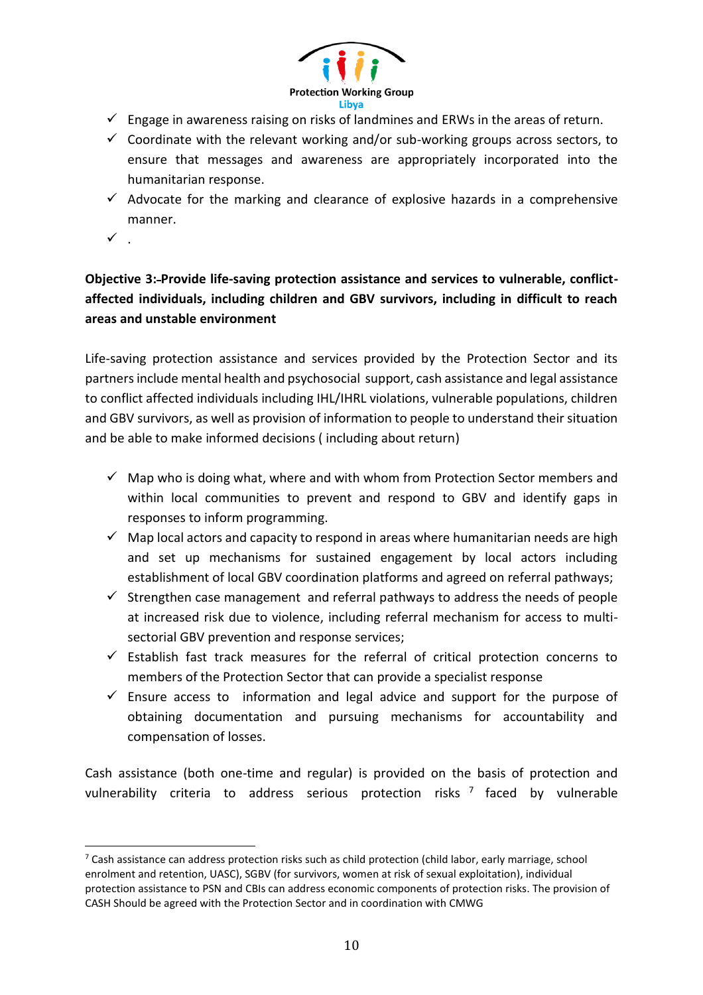

- $\checkmark$  Engage in awareness raising on risks of landmines and ERWs in the areas of return.
- $\checkmark$  Coordinate with the relevant working and/or sub-working groups across sectors, to ensure that messages and awareness are appropriately incorporated into the humanitarian response.
- $\checkmark$  Advocate for the marking and clearance of explosive hazards in a comprehensive manner.
- $\checkmark$ .

 $\overline{a}$ 

**Objective 3: Provide life-saving protection assistance and services to vulnerable, conflictaffected individuals, including children and GBV survivors, including in difficult to reach areas and unstable environment**

Life-saving protection assistance and services provided by the Protection Sector and its partners include mental health and psychosocial support, cash assistance and legal assistance to conflict affected individuals including IHL/IHRL violations, vulnerable populations, children and GBV survivors, as well as provision of information to people to understand their situation and be able to make informed decisions ( including about return)

- $\checkmark$  Map who is doing what, where and with whom from Protection Sector members and within local communities to prevent and respond to GBV and identify gaps in responses to inform programming.
- $\checkmark$  Map local actors and capacity to respond in areas where humanitarian needs are high and set up mechanisms for sustained engagement by local actors including establishment of local GBV coordination platforms and agreed on referral pathways;
- $\checkmark$  Strengthen case management and referral pathways to address the needs of people at increased risk due to violence, including referral mechanism for access to multisectorial GBV prevention and response services;
- $\checkmark$  Establish fast track measures for the referral of critical protection concerns to members of the Protection Sector that can provide a specialist response
- $\checkmark$  Ensure access to information and legal advice and support for the purpose of obtaining documentation and pursuing mechanisms for accountability and compensation of losses.

Cash assistance (both one-time and regular) is provided on the basis of protection and vulnerability criteria to address serious protection risks<sup>7</sup> faced by vulnerable

<sup>&</sup>lt;sup>7</sup> Cash assistance can address protection risks such as child protection (child labor, early marriage, school enrolment and retention, UASC), SGBV (for survivors, women at risk of sexual exploitation), individual protection assistance to PSN and CBIs can address economic components of protection risks. The provision of CASH Should be agreed with the Protection Sector and in coordination with CMWG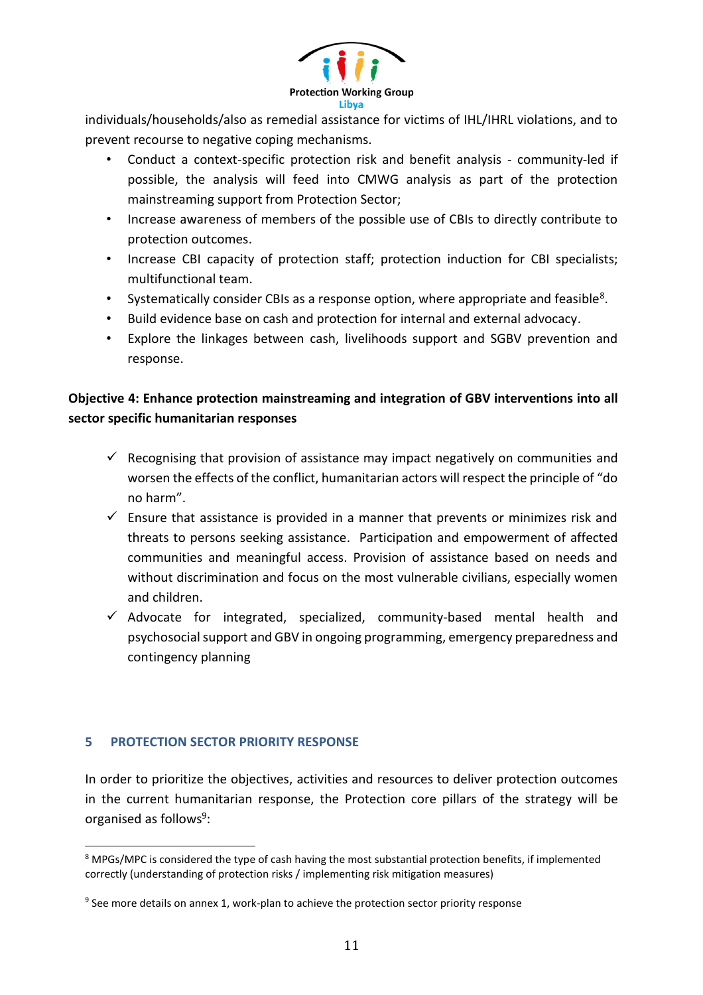

individuals/households/also as remedial assistance for victims of IHL/IHRL violations, and to prevent recourse to negative coping mechanisms.

- Conduct a context-specific protection risk and benefit analysis community-led if possible, the analysis will feed into CMWG analysis as part of the protection mainstreaming support from Protection Sector;
- Increase awareness of members of the possible use of CBIs to directly contribute to protection outcomes.
- Increase CBI capacity of protection staff; protection induction for CBI specialists; multifunctional team.
- Systematically consider CBIs as a response option, where appropriate and feasible<sup>8</sup>.
- Build evidence base on cash and protection for internal and external advocacy.
- Explore the linkages between cash, livelihoods support and SGBV prevention and response.

# **Objective 4: Enhance protection mainstreaming and integration of GBV interventions into all sector specific humanitarian responses**

- $\checkmark$  Recognising that provision of assistance may impact negatively on communities and worsen the effects of the conflict, humanitarian actors will respect the principle of "do no harm".
- $\checkmark$  Ensure that assistance is provided in a manner that prevents or minimizes risk and threats to persons seeking assistance. Participation and empowerment of affected communities and meaningful access. Provision of assistance based on needs and without discrimination and focus on the most vulnerable civilians, especially women and children.
- $\checkmark$  Advocate for integrated, specialized, community-based mental health and psychosocial support and GBV in ongoing programming, emergency preparedness and contingency planning

## **5 PROTECTION SECTOR PRIORITY RESPONSE**

 $\overline{a}$ 

In order to prioritize the objectives, activities and resources to deliver protection outcomes in the current humanitarian response, the Protection core pillars of the strategy will be organised as follows 9 :

<sup>&</sup>lt;sup>8</sup> MPGs/MPC is considered the type of cash having the most substantial protection benefits, if implemented correctly (understanding of protection risks / implementing risk mitigation measures)

<sup>&</sup>lt;sup>9</sup> See more details on annex 1, work-plan to achieve the protection sector priority response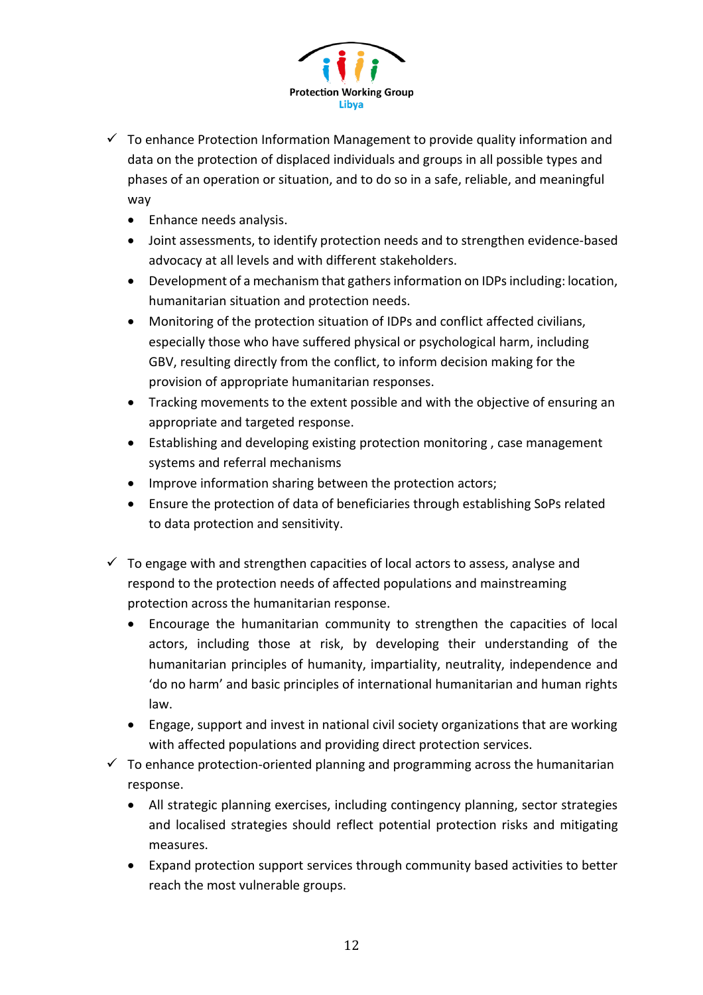

- $\checkmark$  To enhance Protection Information Management to provide quality information and data on the protection of displaced individuals and groups in all possible types and phases of an operation or situation, and to do so in a safe, reliable, and meaningful way
	- Enhance needs analysis.
	- Joint assessments, to identify protection needs and to strengthen evidence-based advocacy at all levels and with different stakeholders.
	- Development of a mechanism that gathers information on IDPs including: location, humanitarian situation and protection needs.
	- Monitoring of the protection situation of IDPs and conflict affected civilians, especially those who have suffered physical or psychological harm, including GBV, resulting directly from the conflict, to inform decision making for the provision of appropriate humanitarian responses.
	- Tracking movements to the extent possible and with the objective of ensuring an appropriate and targeted response.
	- Establishing and developing existing protection monitoring , case management systems and referral mechanisms
	- Improve information sharing between the protection actors;
	- Ensure the protection of data of beneficiaries through establishing SoPs related to data protection and sensitivity.
- $\checkmark$  To engage with and strengthen capacities of local actors to assess, analyse and respond to the protection needs of affected populations and mainstreaming protection across the humanitarian response.
	- Encourage the humanitarian community to strengthen the capacities of local actors, including those at risk, by developing their understanding of the humanitarian principles of humanity, impartiality, neutrality, independence and 'do no harm' and basic principles of international humanitarian and human rights law.
	- Engage, support and invest in national civil society organizations that are working with affected populations and providing direct protection services.
- $\checkmark$  To enhance protection-oriented planning and programming across the humanitarian response.
	- All strategic planning exercises, including contingency planning, sector strategies and localised strategies should reflect potential protection risks and mitigating measures.
	- Expand protection support services through community based activities to better reach the most vulnerable groups.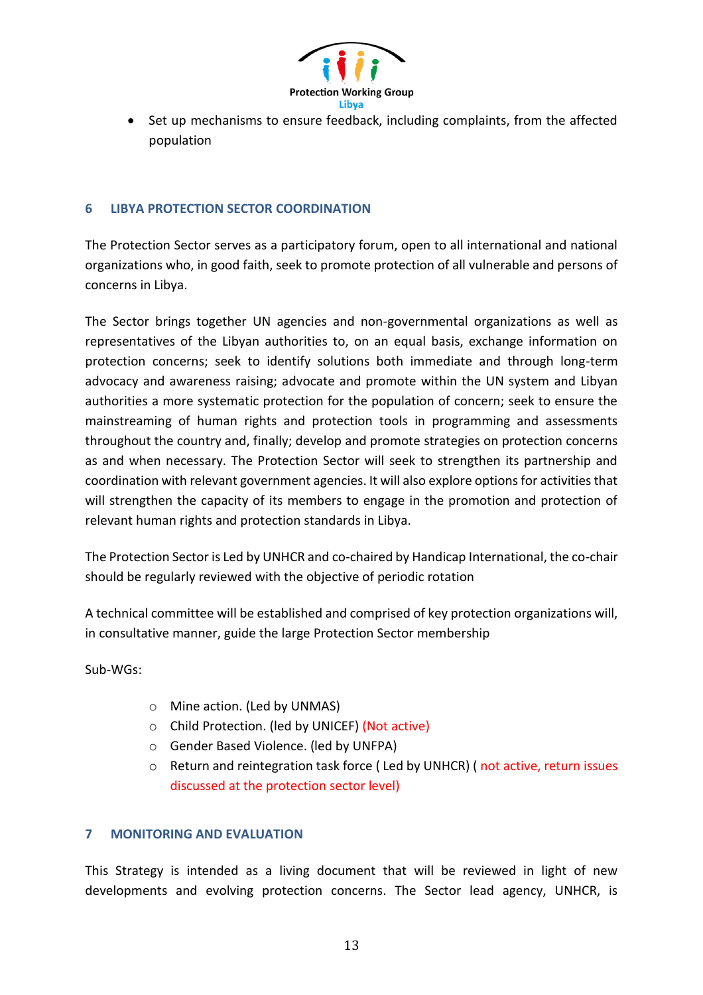

 Set up mechanisms to ensure feedback, including complaints, from the affected population

## **6 LIBYA PROTECTION SECTOR COORDINATION**

The Protection Sector serves as a participatory forum, open to all international and national organizations who, in good faith, seek to promote protection of all vulnerable and persons of concerns in Libya.

The Sector brings together UN agencies and non-governmental organizations as well as representatives of the Libyan authorities to, on an equal basis, exchange information on protection concerns; seek to identify solutions both immediate and through long-term advocacy and awareness raising; advocate and promote within the UN system and Libyan authorities a more systematic protection for the population of concern; seek to ensure the mainstreaming of human rights and protection tools in programming and assessments throughout the country and, finally; develop and promote strategies on protection concerns as and when necessary. The Protection Sector will seek to strengthen its partnership and coordination with relevant government agencies. It will also explore options for activities that will strengthen the capacity of its members to engage in the promotion and protection of relevant human rights and protection standards in Libya.

The Protection Sector is Led by UNHCR and co-chaired by Handicap International, the co-chair should be regularly reviewed with the objective of periodic rotation

A technical committee will be established and comprised of key protection organizations will, in consultative manner, guide the large Protection Sector membership

Sub-WGs:

- o Mine action. (Led by UNMAS)
- o Child Protection. (led by UNICEF) (Not active)
- o Gender Based Violence. (led by UNFPA)
- o Return and reintegration task force ( Led by UNHCR) ( not active, return issues discussed at the protection sector level)

## **7 MONITORING AND EVALUATION**

This Strategy is intended as a living document that will be reviewed in light of new developments and evolving protection concerns. The Sector lead agency, UNHCR, is